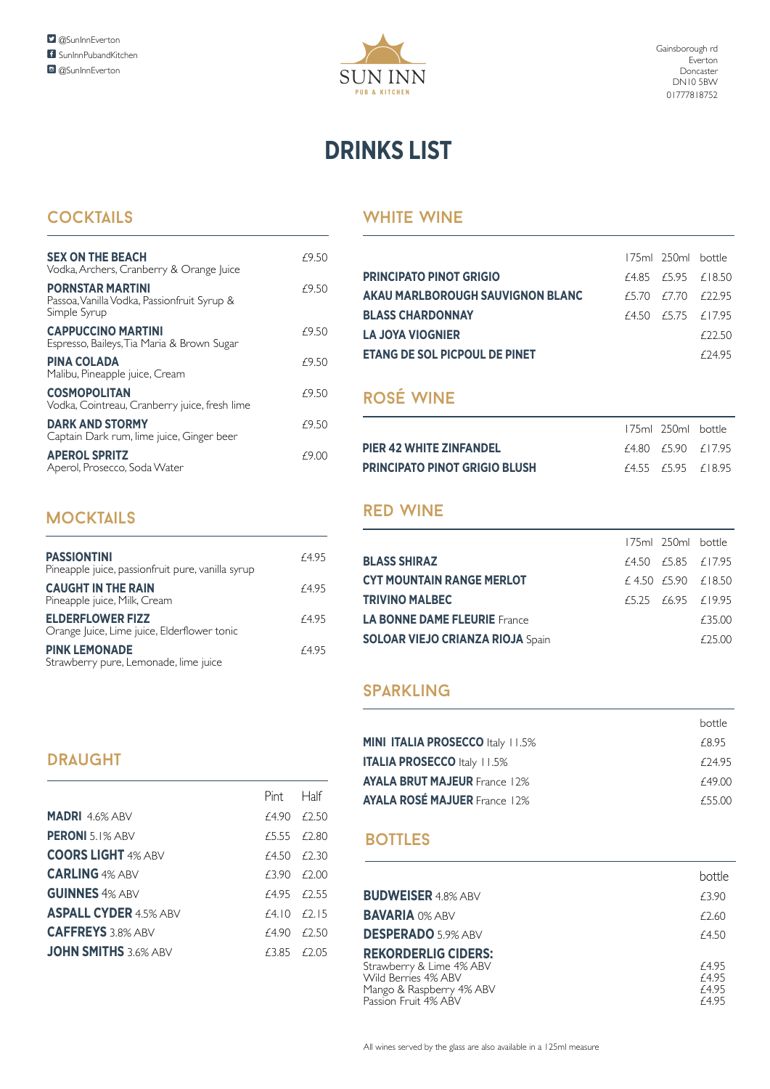

# **DRINKS LIST**

### COCKTAILS WHITE WINE

| <b>SEX ON THE BEACH</b><br>Vodka, Archers, Cranberry & Orange Juice                    | £9.50 |
|----------------------------------------------------------------------------------------|-------|
| <b>PORNSTAR MARTINI</b><br>Passoa, Vanilla Vodka, Passionfruit Syrup &<br>Simple Syrup | £9.50 |
| <b>CAPPUCCINO MARTINI</b><br>Espresso, Baileys, Tia Maria & Brown Sugar                | £9.50 |
| <b>PINA COLADA</b><br>Malibu, Pineapple juice, Cream                                   | £9.50 |
| <b>COSMOPOLITAN</b><br>Vodka, Cointreau, Cranberry juice, fresh lime                   | £9.50 |
| <b>DARK AND STORMY</b><br>Captain Dark rum, lime juice, Ginger beer                    | £9.50 |
| <b>APEROL SPRITZ</b><br>Aperol, Prosecco, Soda Water                                   | f9.00 |

# **MOCKTAILS**

| <b>PASSIONTINI</b><br>Pineapple juice, passionfruit pure, vanilla syrup | £4.95 |
|-------------------------------------------------------------------------|-------|
| <b>CAUGHT IN THE RAIN</b><br>Pineapple juice, Milk, Cream               | £4.95 |
| <b>ELDERFLOWER FIZZ</b><br>Orange Juice, Lime juice, Elderflower tonic  | £4.95 |
| <b>PINK LEMONADE</b><br>Strawberry pure, Lemonade, lime juice           | £4.95 |

|                                      | 175ml 250ml bottle       |         |
|--------------------------------------|--------------------------|---------|
| <b>PRINCIPATO PINOT GRIGIO</b>       | $f4.85$ $f5.95$ $f18.50$ |         |
| AKAU MARLBOROUGH SAUVIGNON BLANC     | f5.70 f7.70 f22.95       |         |
| <b>BLASS CHARDONNAY</b>              | f4.50 f5.75 f17.95       |         |
| <b>LA JOYA VIOGNIER</b>              |                          | F22.50  |
| <b>ETANG DE SOL PICPOUL DE PINET</b> |                          | f 24 95 |

# rosÉ wine

|                                      | 175ml 250ml bottle |                          |
|--------------------------------------|--------------------|--------------------------|
| <b>PIER 42 WHITE ZINFANDEL</b>       |                    | f4.80 f5.90 f17.95       |
| <b>PRINCIPATO PINOT GRIGIO BLUSH</b> |                    | $f4.55$ $f5.95$ $f18.95$ |

#### rEd wine

|                                         | 175ml 250ml bottle |                             |
|-----------------------------------------|--------------------|-----------------------------|
| <b>BLASS SHIRAZ</b>                     | f4.50 f5.85 f17.95 |                             |
| <b>CYT MOUNTAIN RANGE MERLOT</b>        |                    | $f$ 4.50 $f$ 5.90 $f$ 18.50 |
| <b>TRIVINO MALBEC</b>                   |                    | f5.25 f6.95 f19.95          |
| <b>LA BONNE DAME FLEURIE</b> France     |                    | £35.00                      |
| <b>SOLOAR VIEJO CRIANZA RIOJA Spain</b> |                    | f2500                       |

#### **SPARKLING**

|                                         | <b>bottle</b> |
|-----------------------------------------|---------------|
| <b>MINI ITALIA PROSECCO Italy 11.5%</b> | £8.95         |
| <b>ITALIA PROSECCO Italy 11.5%</b>      | f 24.95       |
| <b>AYALA BRUT MAJEUR France 12%</b>     | £49.00        |
| <b>AYALA ROSÉ MAJUER France 12%</b>     | £55.00        |

#### **BOTTLES**

|                                                                                                                                   | hottle                           |
|-----------------------------------------------------------------------------------------------------------------------------------|----------------------------------|
| <b>BUDWEISER 4.8% ABV</b>                                                                                                         | £3.90                            |
| <b>BAVARIA 0% ABV</b>                                                                                                             | £2.60                            |
| <b>DESPERADO 5.9% ABV</b>                                                                                                         | £4.50                            |
| <b>REKORDERLIG CIDERS:</b><br>Strawberry & Lime 4% ABV<br>Wild Berries 4% ABV<br>Mango & Raspberry 4% ABV<br>Passion Fruit 4% ABV | £4.95<br>£4.95<br>£4.95<br>£4.95 |

#### **DRAUGHT**

|                              | Pint Half   |  |
|------------------------------|-------------|--|
| <b>MADRI 4.6% ABV</b>        | f490 f750   |  |
| <b>PERONI</b> 5.1% ABV       | f5.55 f2.80 |  |
| <b>COORS LIGHT 4% ABV</b>    | f4.50 f2.30 |  |
| <b>CARLING 4% ABV</b>        | f390 f200   |  |
| <b>GUINNES 4% ABV</b>        | f495 f755   |  |
| <b>ASPALL CYDER</b> 4.5% ABV | f410 f715   |  |
| <b>CAFFREYS</b> 3.8% ABV     | f490 f750   |  |
| <b>JOHN SMITHS 3.6% ABV</b>  | f3.85 f2.05 |  |
|                              |             |  |